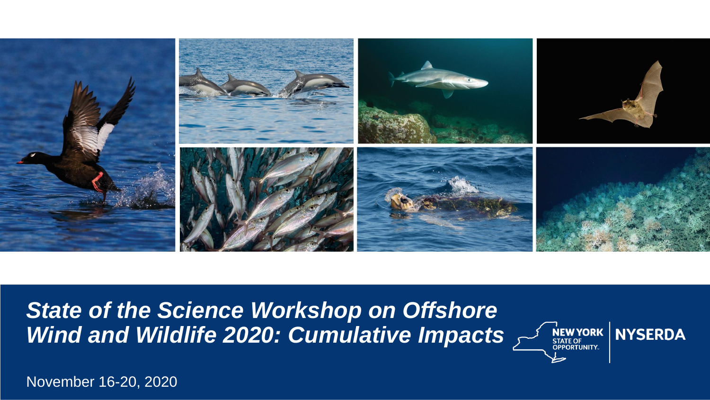

*State of the Science Workshop on Offshore*  Wind and Wildlife 2020: Cumulative Impacts AND STATE OF NYSERDA



November 16-20, 2020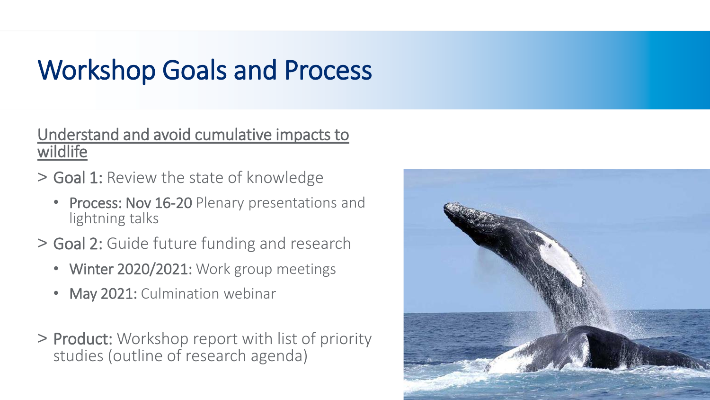# Workshop Goals and Process

#### Understand and avoid cumulative impacts to wildlife

- > Goal 1: Review the state of knowledge
	- Process: Nov 16-20 Plenary presentations and lightning talks
- > Goal 2: Guide future funding and research
	- Winter 2020/2021: Work group meetings
	- May 2021: Culmination webinar
- > Product: Workshop report with list of priority studies (outline of research agenda)

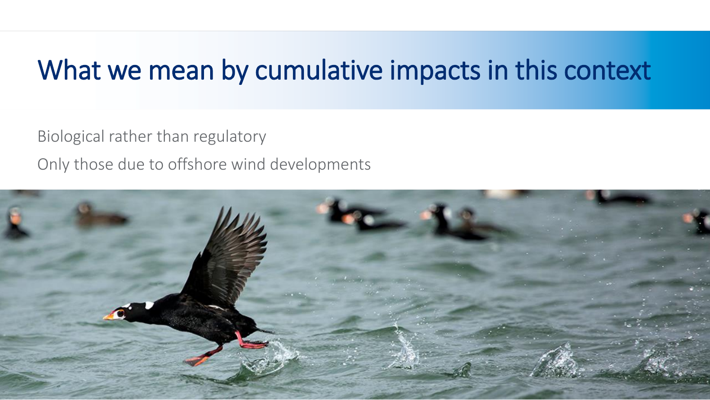## What we mean by cumulative impacts in this context

Biological rather than regulatory

Only those due to offshore wind developments

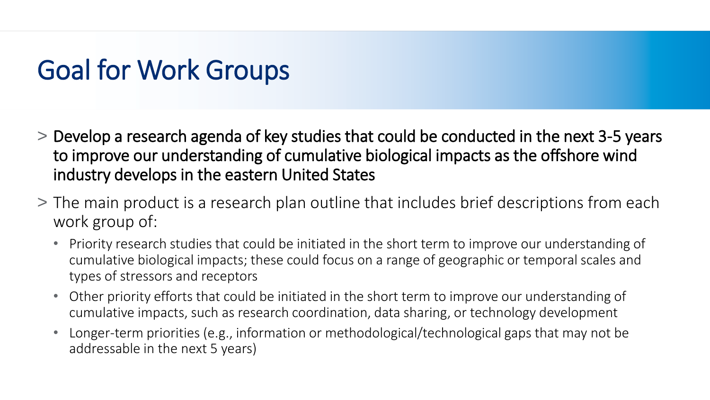## Goal for Work Groups

- > Develop a research agenda of key studies that could be conducted in the next 3-5 years to improve our understanding of cumulative biological impacts as the offshore wind industry develops in the eastern United States
- > The main product is a research plan outline that includes brief descriptions from each work group of:
	- Priority research studies that could be initiated in the short term to improve our understanding of cumulative biological impacts; these could focus on a range of geographic or temporal scales and types of stressors and receptors
	- Other priority efforts that could be initiated in the short term to improve our understanding of cumulative impacts, such as research coordination, data sharing, or technology development
	- Longer-term priorities (e.g., information or methodological/technological gaps that may not be addressable in the next 5 years)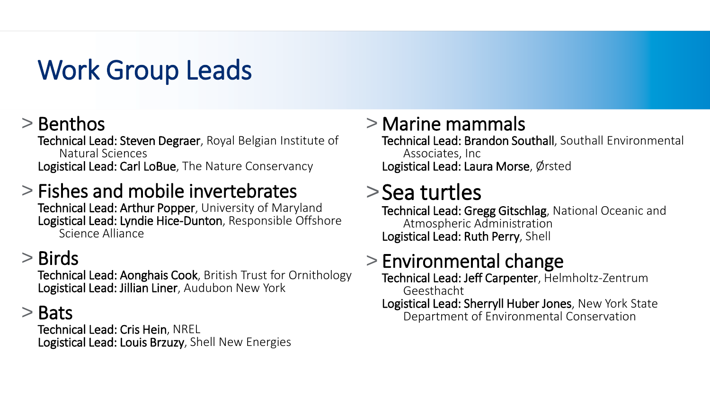# Work Group Leads

## > Benthos

Technical Lead: Steven Degraer, Royal Belgian Institute of Natural Sciences Logistical Lead: Carl LoBue, The Nature Conservancy

## > Fishes and mobile invertebrates

Technical Lead: Arthur Popper, University of Maryland Logistical Lead: Lyndie Hice-Dunton, Responsible Offshore Science Alliance

## > Birds

Technical Lead: Aonghais Cook, British Trust for Ornithology Logistical Lead: Jillian Liner, Audubon New York

## > Bats

Technical Lead: Cris Hein, NREL Logistical Lead: Louis Brzuzy, Shell New Energies

## > Marine mammals

Technical Lead: Brandon Southall, Southall Environmental Associates, Inc Logistical Lead: Laura Morse, Ørsted

## >Sea turtles

Technical Lead: Gregg Gitschlag, National Oceanic and Atmospheric Administration Logistical Lead: Ruth Perry, Shell

## > Environmental change

Technical Lead: Jeff Carpenter, Helmholtz-Zentrum Geesthacht

Logistical Lead: Sherryll Huber Jones, New York State Department of Environmental Conservation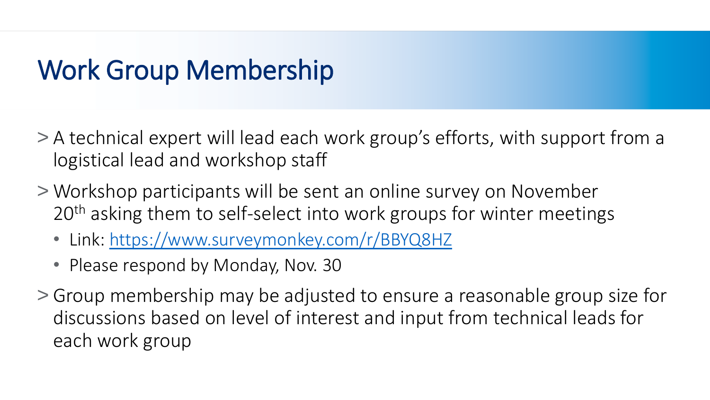# Work Group Membership

- > A technical expert will lead each work group's efforts, with support from a logistical lead and workshop staff
- > Workshop participants will be sent an online survey on November 20<sup>th</sup> asking them to self-select into work groups for winter meetings
	- Link: <https://www.surveymonkey.com/r/BBYQ8HZ>
	- Please respond by Monday, Nov. 30
- > Group membership may be adjusted to ensure a reasonable group size for discussions based on level of interest and input from technical leads for each work group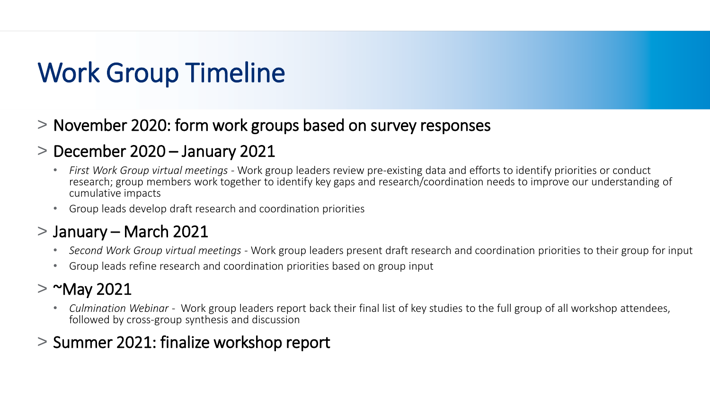# Work Group Timeline

> November 2020: form work groups based on survey responses

### > December 2020 – January 2021

- *First Work Group virtual meetings -* Work group leaders review pre-existing data and efforts to identify priorities or conduct research; group members work together to identify key gaps and research/coordination needs to improve our understanding of cumulative impacts
- Group leads develop draft research and coordination priorities

### > January – March 2021

- *Second Work Group virtual meetings -* Work group leaders present draft research and coordination priorities to their group for input
- Group leads refine research and coordination priorities based on group input

### $>$   $^{\sim}$ May 2021

• *Culmination Webinar* - Work group leaders report back their final list of key studies to the full group of all workshop attendees, followed by cross-group synthesis and discussion

### > Summer 2021: finalize workshop report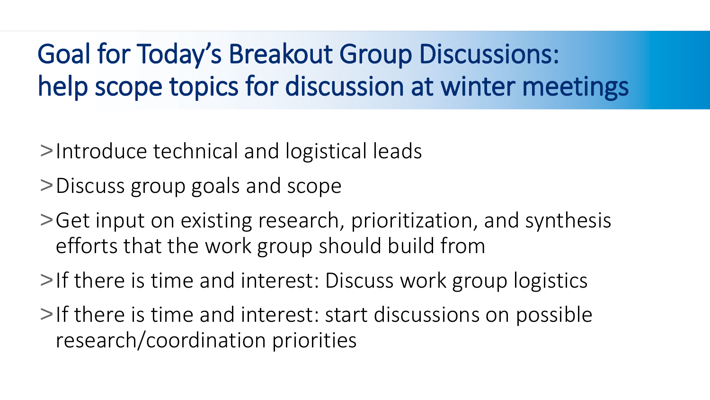# Goal for Today's Breakout Group Discussions: help scope topics for discussion at winter meetings

- >Introduce technical and logistical leads
- >Discuss group goals and scope
- >Get input on existing research, prioritization, and synthesis efforts that the work group should build from
- >If there is time and interest: Discuss work group logistics
- >If there is time and interest: start discussions on possible research/coordination priorities